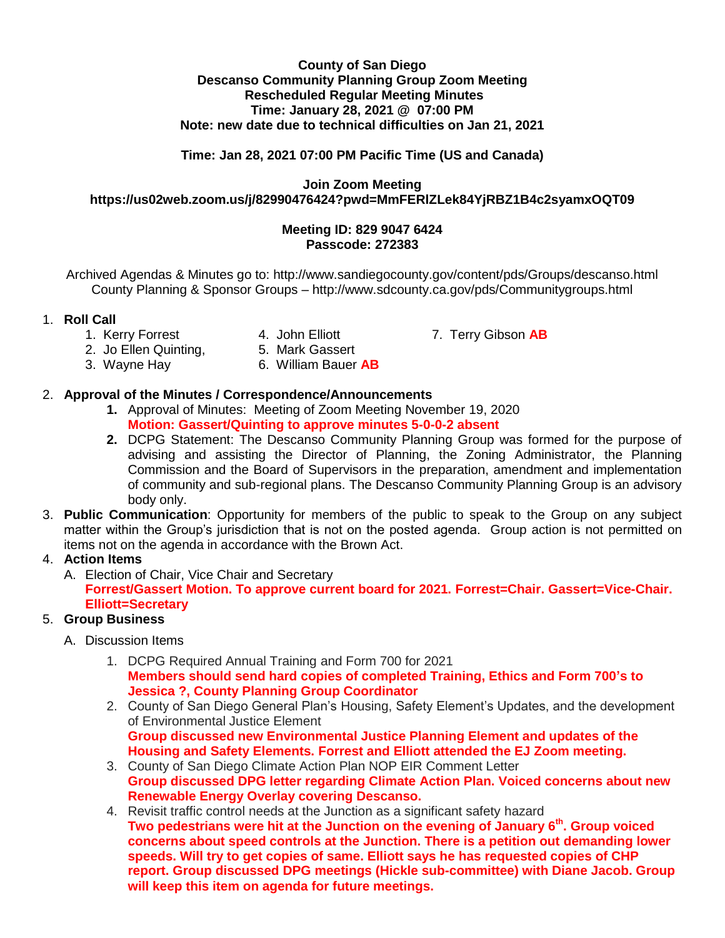#### **County of San Diego Descanso Community Planning Group Zoom Meeting Rescheduled Regular Meeting Minutes Time: January 28, 2021 @ 07:00 PM Note: new date due to technical difficulties on Jan 21, 2021**

### **Time: Jan 28, 2021 07:00 PM Pacific Time (US and Canada)**

**Join Zoom Meeting https://us02web.zoom.us/j/82990476424?pwd=MmFERlZLek84YjRBZ1B4c2syamxOQT09**

### **Meeting ID: 829 9047 6424 Passcode: 272383**

Archived Agendas & Minutes go to: http://www.sandiegocounty.gov/content/pds/Groups/descanso.html County Planning & Sponsor Groups – http://www.sdcounty.ca.gov/pds/Communitygroups.html

### 1. **Roll Call**

- 
- 
- 1. Kerry Forrest 4. John Elliott 7. Terry Gibson AB<br>2. Jo Ellen Quinting, 5. Mark Gassert
- 2. Jo Ellen Quinting,
- 
- 
- 3. Wayne Hay 6. William Bauer **AB**

### 2. **Approval of the Minutes / Correspondence/Announcements**

- **1.** Approval of Minutes: Meeting of Zoom Meeting November 19, 2020 **Motion: Gassert/Quinting to approve minutes 5-0-0-2 absent**
- **2.** DCPG Statement: The Descanso Community Planning Group was formed for the purpose of advising and assisting the Director of Planning, the Zoning Administrator, the Planning Commission and the Board of Supervisors in the preparation, amendment and implementation of community and sub-regional plans. The Descanso Community Planning Group is an advisory body only.
- 3. **Public Communication**: Opportunity for members of the public to speak to the Group on any subject matter within the Group's jurisdiction that is not on the posted agenda. Group action is not permitted on items not on the agenda in accordance with the Brown Act.

### 4. **Action Items**

A. Election of Chair, Vice Chair and Secretary **Forrest/Gassert Motion. To approve current board for 2021. Forrest=Chair. Gassert=Vice-Chair. Elliott=Secretary**

# 5. **Group Business**

- A. Discussion Items
	- 1. DCPG Required Annual Training and Form 700 for 2021 **Members should send hard copies of completed Training, Ethics and Form 700's to Jessica ?, County Planning Group Coordinator**
	- 2. County of San Diego General Plan's Housing, Safety Element's Updates, and the development of Environmental Justice Element **Group discussed new Environmental Justice Planning Element and updates of the Housing and Safety Elements. Forrest and Elliott attended the EJ Zoom meeting.**
	- 3. County of San Diego Climate Action Plan NOP EIR Comment Letter **Group discussed DPG letter regarding Climate Action Plan. Voiced concerns about new Renewable Energy Overlay covering Descanso.**
	- 4. Revisit traffic control needs at the Junction as a significant safety hazard **Two pedestrians were hit at the Junction on the evening of January 6th. Group voiced concerns about speed controls at the Junction. There is a petition out demanding lower speeds. Will try to get copies of same. Elliott says he has requested copies of CHP report. Group discussed DPG meetings (Hickle sub-committee) with Diane Jacob. Group will keep this item on agenda for future meetings.**